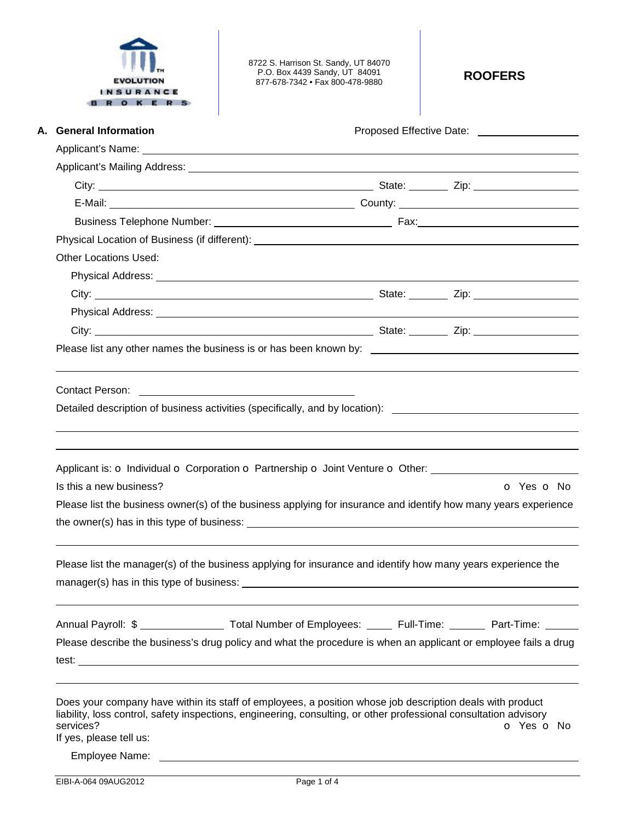| <b>EVOLUTION</b><br><b>INSURANCE</b><br>OKER | 8722 S. Harrison St. Sandy, UT 84070<br>P.O. Box 4439 Sandy, UT 84091<br>877-678-7342 • Fax 800-478-9880                                                                                                                       | <b>ROOFERS</b>                                                   |
|----------------------------------------------|--------------------------------------------------------------------------------------------------------------------------------------------------------------------------------------------------------------------------------|------------------------------------------------------------------|
| A. General Information                       |                                                                                                                                                                                                                                | Proposed Effective Date: Noted that the proposed Effective Date: |
|                                              |                                                                                                                                                                                                                                |                                                                  |
|                                              |                                                                                                                                                                                                                                |                                                                  |
|                                              |                                                                                                                                                                                                                                |                                                                  |
|                                              |                                                                                                                                                                                                                                |                                                                  |
|                                              |                                                                                                                                                                                                                                |                                                                  |
|                                              |                                                                                                                                                                                                                                |                                                                  |
| <b>Other Locations Used:</b>                 |                                                                                                                                                                                                                                |                                                                  |
|                                              |                                                                                                                                                                                                                                |                                                                  |
|                                              |                                                                                                                                                                                                                                |                                                                  |
|                                              | Physical Address: No. 2020 No. 2020 No. 2020 No. 2020 No. 2020 No. 2020 No. 2020 No. 2020 No. 2020 No. 2020 No                                                                                                                 |                                                                  |
|                                              |                                                                                                                                                                                                                                |                                                                  |
|                                              | Please list any other names the business is or has been known by: __________________________________                                                                                                                           |                                                                  |
| Is this a new business?                      | Applicant is: o Individual o Corporation o Partnership o Joint Venture o Other:<br>Please list the business owner(s) of the business applying for insurance and identify how many years experience                             | $O$ Yes $O$ No                                                   |
|                                              | Please list the manager(s) of the business applying for insurance and identify how many years experience the                                                                                                                   |                                                                  |
|                                              | Annual Payroll: \$ __________________ Total Number of Employees: ______ Full-Time: _______ Part-Time: _____                                                                                                                    |                                                                  |
|                                              | Please describe the business's drug policy and what the procedure is when an applicant or employee fails a drug                                                                                                                |                                                                  |
|                                              |                                                                                                                                                                                                                                |                                                                  |
| services?<br>If yes, please tell us:         | Does your company have within its staff of employees, a position whose job description deals with product<br>liability, loss control, safety inspections, engineering, consulting, or other professional consultation advisory | O Yes O No                                                       |
|                                              | Employee Name: Latter and the state of the state of the state of the state of the state of the state of the state of the state of the state of the state of the state of the state of the state of the state of the state of t |                                                                  |
| EIBI-A-064 09AUG2012                         | Page 1 of 4                                                                                                                                                                                                                    |                                                                  |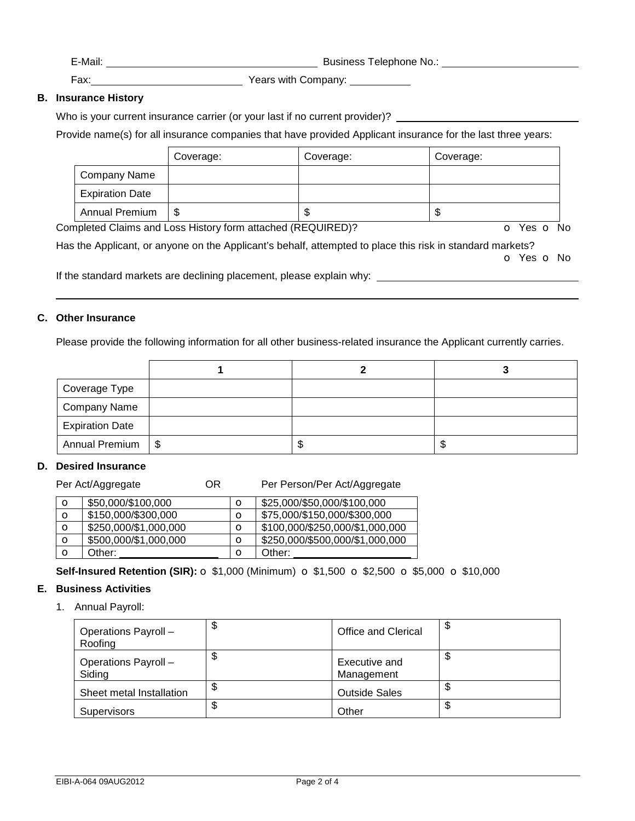| -Mail <sup>.</sup><br>viuli.<br>______ | 1.12.12.22<br>elenhone<br>No ^<br>susiness<br>.<br>____<br>____ |
|----------------------------------------|-----------------------------------------------------------------|
|                                        |                                                                 |

Fax: Years with Company:

## **B. Insurance History**

Who is your current insurance carrier (or your last if no current provider)? \_\_\_\_\_\_\_\_\_

Provide name(s) for all insurance companies that have provided Applicant insurance for the last three years:

|                        | Coverage: | Coverage: | Coverage: |
|------------------------|-----------|-----------|-----------|
| <b>Company Name</b>    |           |           |           |
| <b>Expiration Date</b> |           |           |           |
| Annual Premium         | \$        | ъD        | ۰D        |

Completed Claims and Loss History form attached (REQUIRED)? **o** Yes **o** No

Has the Applicant, or anyone on the Applicant's behalf, attempted to place this risk in standard markets? o Yes o No

If the standard markets are declining placement, please explain why:

## **C. Other Insurance**

Please provide the following information for all other business-related insurance the Applicant currently carries.

| Coverage Type          |  |   |
|------------------------|--|---|
| <b>Company Name</b>    |  |   |
| <b>Expiration Date</b> |  |   |
| Annual Premium   \$    |  | Ф |

### **D. Desired Insurance**

Per Act/Aggregate **OR** Per Person/Per Act/Aggregate

| \$50,000/\$100,000    | O | \$25,000/\$50,000/\$100,000     |
|-----------------------|---|---------------------------------|
| \$150,000/\$300,000   | O | \$75,000/\$150,000/\$300,000    |
| \$250,000/\$1,000,000 | O | \$100,000/\$250,000/\$1,000,000 |
| \$500,000/\$1,000,000 | O | \$250,000/\$500,000/\$1,000,000 |
| Other:                | O | Other:                          |
|                       |   |                                 |

**Self-Insured Retention (SIR):** o \$1,000 (Minimum) o \$1,500 o \$2,500 o \$5,000 o \$10,000

### **E. Business Activities**

1. Annual Payroll:

| Operations Payroll -<br>Roofing | ง | <b>Office and Clerical</b>  | ٩Đ |
|---------------------------------|---|-----------------------------|----|
| Operations Payroll -<br>Siding  | ง | Executive and<br>Management |    |
| Sheet metal Installation        | ง | <b>Outside Sales</b>        | ۰D |
| <b>Supervisors</b>              |   | Other                       | Φ  |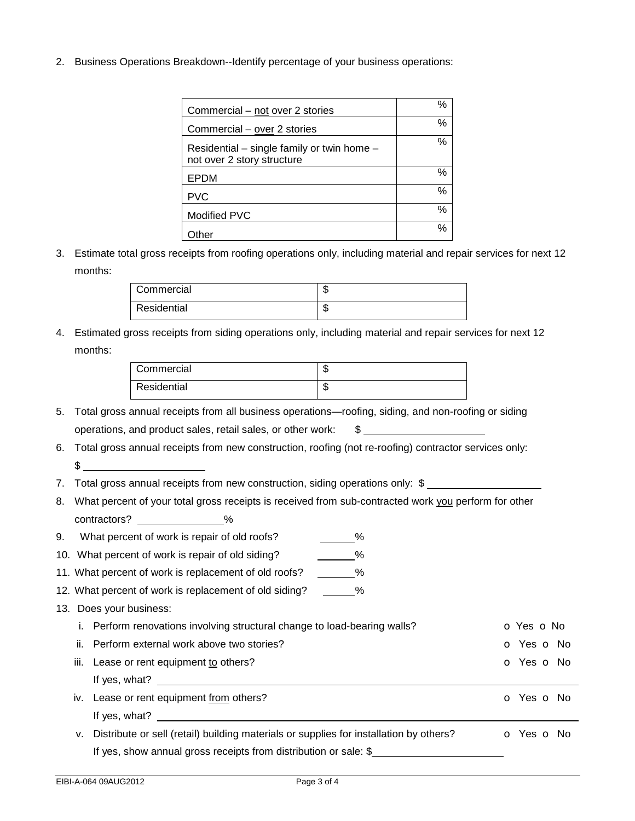2. Business Operations Breakdown--Identify percentage of your business operations:

| Commercial – not over 2 stories                                          | % |
|--------------------------------------------------------------------------|---|
| Commercial – over 2 stories                                              | % |
| Residential – single family or twin home –<br>not over 2 story structure | % |
| EPDM                                                                     | % |
| <b>PVC</b>                                                               | % |
| Modified PVC                                                             | % |
| ther                                                                     | % |

# 3. Estimate total gross receipts from roofing operations only, including material and repair services for next 12 months:

| Commercial  | w   |
|-------------|-----|
| Residential | ٦IJ |

4. Estimated gross receipts from siding operations only, including material and repair services for next 12 months:

| Commercial  | ٤IJ |
|-------------|-----|
| Residential | ٤IJ |

- 5. Total gross annual receipts from all business operations—roofing, siding, and non-roofing or siding operations, and product sales, retail sales, or other work:  $$$
- 6. Total gross annual receipts from new construction, roofing (not re-roofing) contractor services only:  $\sim$
- 7. Total gross annual receipts from new construction, siding operations only: \$
- 8. What percent of your total gross receipts is received from sub-contracted work you perform for other contractors? \_\_\_\_\_\_\_\_\_\_\_\_\_\_%
- 9. What percent of work is repair of old roofs?  $\%$
- 10. What percent of work is repair of old siding?  $\frac{1}{\sqrt{2\pi}}\%$
- 11. What percent of work is replacement of old roofs?  $\%$
- 12. What percent of work is replacement of old siding? \_\_\_\_\_\_%
- 13. Does your business:
	- i. Perform renovations involving structural change to load-bearing walls?  $\bullet$  Yes  $\bullet$  No ii. Perform external work above two stories? Community contracts are contracted by the original contracted by No
	- iii. Lease or rent equipment to others? Communication of the contract of the contract of Yes of No If yes, what?
	- iv. Lease or rent equipment from others? Compared the control of the control of Yes of No. If yes, what? v. Distribute or sell (retail) building materials or supplies for installation by others? **o** Yes **o** No
		- If yes, show annual gross receipts from distribution or sale: \$